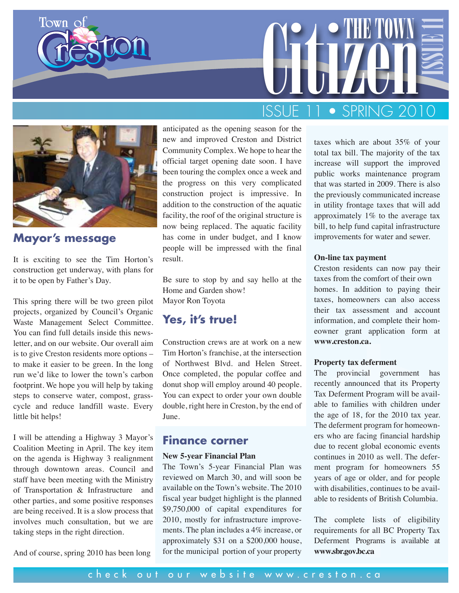





#### **Mayor's message**

It is exciting to see the Tim Horton's construction get underway, with plans for it to be open by Father's Day.

This spring there will be two green pilot projects, organized by Council's Organic Waste Management Select Committee. You can find full details inside this newsletter, and on our website. Our overall aim is to give Creston residents more options – to make it easier to be green. In the long run we'd like to lower the town's carbon footprint. We hope you will help by taking steps to conserve water, compost, grasscycle and reduce landfill waste. Every little bit helps!

I will be attending a Highway 3 Mayor's Coalition Meeting in April. The key item on the agenda is Highway 3 realignment through downtown areas. Council and staff have been meeting with the Ministry of Transportation & Infrastructure and other parties, and some positive responses are being received. It is a slow process that involves much consultation, but we are taking steps in the right direction.

And of course, spring 2010 has been long

anticipated as the opening season for the new and improved Creston and District Community Complex. We hope to hear the official target opening date soon. I have been touring the complex once a week and the progress on this very complicated construction project is impressive. In addition to the construction of the aquatic facility, the roof of the original structure is now being replaced. The aquatic facility has come in under budget, and I know people will be impressed with the final result.

Be sure to stop by and say hello at the Home and Garden show! Mayor Ron Toyota

#### **Yes, it's true!**

Construction crews are at work on a new Tim Horton's franchise, at the intersection of Northwest Blvd. and Helen Street. Once completed, the popular coffee and donut shop will employ around 40 people. You can expect to order your own double double, right here in Creston, by the end of June.

#### **Finance corner**

#### **New 5-year Financial Plan**

The Town's 5-year Financial Plan was reviewed on March 30, and will soon be available on the Town's website. The 2010 fiscal year budget highlight is the planned \$9,750,000 of capital expenditures for 2010, mostly for infrastructure improvements. The plan includes a 4% increase, or approximately \$31 on a \$200,000 house, taxes which are about 35% of your total tax bill. The majority of the tax increase will support the improved public works maintenance program that was started in 2009. There is also the previously communicated increase in utility frontage taxes that will add approximately 1% to the average tax bill, to help fund capital infrastructure improvements for water and sewer.

#### **On-line tax payment**

Creston residents can now pay their taxes from the comfort of their own homes. In addition to paying their taxes, homeowners can also access their tax assessment and account information, and complete their homeowner grant application form at **www.creston.ca.**

#### **Property tax deferment**

Construction crews are at work on a new wextressum.ea.<br>
Tim Horton's franchise, at the intersection<br>
of Northwest Blvd. and Helen Street. **Property tax deferment**<br>
once completed, the popular coffee and The provincial gov The provincial government has recently announced that its Property Tax Deferment Program will be available to families with children under the age of 18, for the 2010 tax year. The deferment program for homeowners who are facing financial hardship due to recent global economic events continues in 2010 as well. The deferment program for homeowners 55 years of age or older, and for people with disabilities, continues to be available to residents of British Columbia.

The complete lists of eligibility requirements for all BC Property Tax Deferment Programs is available at **www.sbr.gov.bc.ca**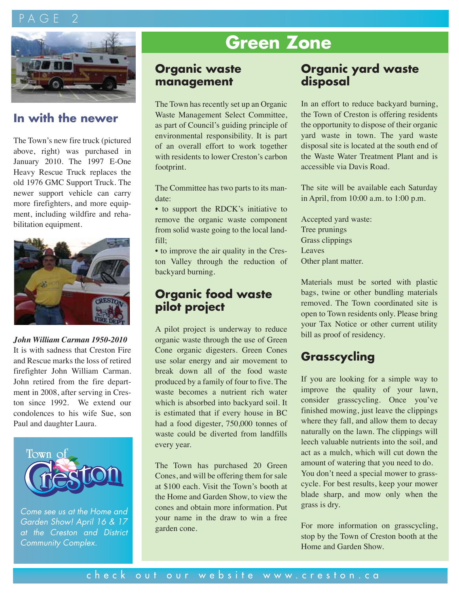# $A G F$



#### **In with the newer**

The Town's new fire truck (pictured above, right) was purchased in January 2010. The 1997 E-One Heavy Rescue Truck replaces the old 1976 GMC Support Truck. The newer support vehicle can carry more firefighters, and more equipment, including wildfire and rehabilitation equipment.



#### *John William Carman 1950-2010*

It is with sadness that Creston Fire and Rescue marks the loss of retired firefighter John William Carman. John retired from the fire department in 2008, after serving in Creston since 1992. We extend our condolences to his wife Sue, son Paul and daughter Laura.



*Come see us at the Home and Garden Show! April 16 & 17 at the Creston and District Community Complex.*

# **Green Zone**

#### **Organic waste management**

The Town has recently set up an Organic Waste Management Select Committee, as part of Council's guiding principle of environmental responsibility. It is part of an overall effort to work together with residents to lower Creston's carbon footprint.

The Committee has two parts to its mandate:

• to support the RDCK's initiative to remove the organic waste component from solid waste going to the local landfill;

• to improve the air quality in the Creston Valley through the reduction of backyard burning.

#### **Organic food waste pilot project**

A pilot project is underway to reduce organic waste through the use of Green Cone organic digesters. Green Cones use solar energy and air movement to break down all of the food waste produced by a family of four to five. The waste becomes a nutrient rich water which is absorbed into backyard soil. It is estimated that if every house in BC had a food digester, 750,000 tonnes of waste could be diverted from landfills every year.

The Town has purchased 20 Green Cones, and will be offering them for sale at \$100 each. Visit the Town's booth at the Home and Garden Show, to view the cones and obtain more information. Put your name in the draw to win a free garden cone.

#### **Organic yard waste disposal**

In an effort to reduce backyard burning, the Town of Creston is offering residents the opportunity to dispose of their organic yard waste in town. The yard waste disposal site is located at the south end of the Waste Water Treatment Plant and is accessible via Davis Road.

The site will be available each Saturday in April, from 10:00 a.m. to 1:00 p.m.

Accepted yard waste: Tree prunings Grass clippings Leaves Other plant matter.

Materials must be sorted with plastic bags, twine or other bundling materials removed. The Town coordinated site is open to Town residents only. Please bring your Tax Notice or other current utility bill as proof of residency.

# **Grasscycling**

If you are looking for a simple way to improve the quality of your lawn, consider grasscycling. Once you've finished mowing, just leave the clippings where they fall, and allow them to decay naturally on the lawn. The clippings will leech valuable nutrients into the soil, and act as a mulch, which will cut down the amount of watering that you need to do. You don't need a special mower to grasscycle. For best results, keep your mower blade sharp, and mow only when the grass is dry.

For more information on grasscycling, stop by the Town of Creston booth at the Home and Garden Show.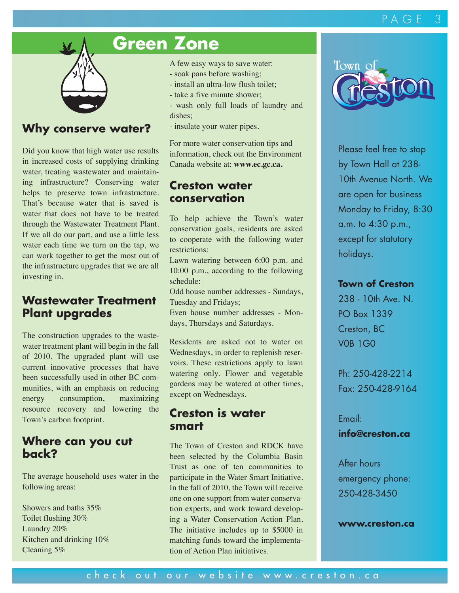#### PAGE 3



#### **Why conserve water?**

Did you know that high water use results in increased costs of supplying drinking water, treating wastewater and maintaining infrastructure? Conserving water helps to preserve town infrastructure. That's because water that is saved is water that does not have to be treated through the Wastewater Treatment Plant. If we all do our part, and use a little less water each time we turn on the tap, we can work together to get the most out of the infrastructure upgrades that we are all investing in.

#### **Wastewater Treatment Plant upgrades**

The construction upgrades to the wastewater treatment plant will begin in the fall of 2010. The upgraded plant will use current innovative processes that have been successfully used in other BC communities, with an emphasis on reducing energy consumption, maximizing resource recovery and lowering the Town's carbon footprint.

#### **Where can you cut back?**

The average household uses water in the following areas:

Showers and baths 35% Toilet flushing 30% Laundry 20% Kitchen and drinking 10% Cleaning 5%

# **Green Zone**

A few easy ways to save water:

- soak pans before washing;
- install an ultra-low flush toilet;
- take a five minute shower;
- wash only full loads of laundry and dishes;
- insulate your water pipes.

For more water conservation tips and information, check out the Environment Canada website at: **www.ec.gc.ca.**

#### **Creston water conservation**

To help achieve the Town's water conservation goals, residents are asked to cooperate with the following water restrictions:

Lawn watering between 6:00 p.m. and 10:00 p.m., according to the following schedule:

Odd house number addresses - Sundays, Tuesday and Fridays;

Even house number addresses - Mondays, Thursdays and Saturdays.

Residents are asked not to water on Wednesdays, in order to replenish reservoirs. These restrictions apply to lawn watering only. Flower and vegetable gardens may be watered at other times, except on Wednesdays.

#### **Creston is water smart**

The Town of Creston and RDCK have been selected by the Columbia Basin Trust as one of ten communities to participate in the Water Smart Initiative. In the fall of 2010, the Town will receive one on one support from water conservation experts, and work toward developing a Water Conservation Action Plan. The initiative includes up to \$5000 in matching funds toward the implementation of Action Plan initiatives.



Please feel free to stop by Town Hall at 238- 10th Avenue North. We are open for business Monday to Friday, 8:30 a.m. to 4:30 p.m., except for statutory holidays.

#### **Town of Creston**

238 - 10th Ave. N. PO Box 1339 Creston, BC V0B 1G0

Ph: 250-428-2214 Fax: 250-428-9164

Email: **info@creston.ca**

After hours emergency phone: 250-428-3450

**www.creston.ca**